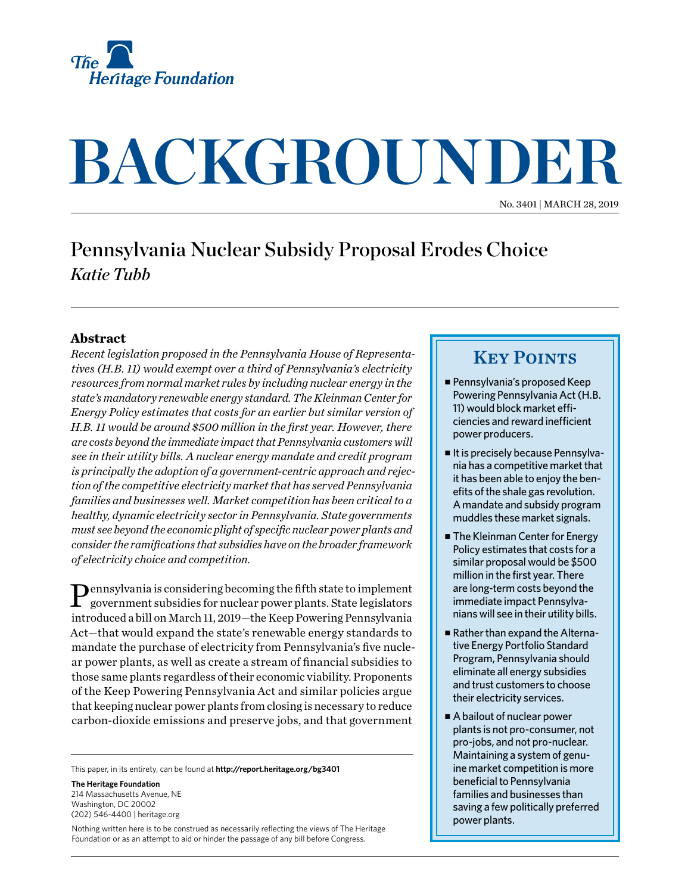

# **BACKGROUNDER**

No. 3401 | March 28, 2019

## Pennsylvania Nuclear Subsidy Proposal Erodes Choice *Katie Tubb*

#### **Abstract**

*Recent legislation proposed in the Pennsylvania House of Representatives (H.B. 11) would exempt over a third of Pennsylvania's electricity resources from normal market rules by including nuclear energy in the state's mandatory renewable energy standard. The Kleinman Center for Energy Policy estimates that costs for an earlier but similar version of H.B. 11 would be around \$500 million in the first year. However, there are costs beyond the immediate impact that Pennsylvania customers will see in their utility bills. A nuclear energy mandate and credit program is principally the adoption of a government-centric approach and rejection of the competitive electricity market that has served Pennsylvania families and businesses well. Market competition has been critical to a healthy, dynamic electricity sector in Pennsylvania. State governments must see beyond the economic plight of specific nuclear power plants and consider the ramifications that subsidies have on the broader framework of electricity choice and competition.*

Pennsylvania is considering becoming the fifth state to implement government subsidies for nuclear power plants. State legislators introduced a bill on March 11, 2019—the Keep Powering Pennsylvania Act—that would expand the state's renewable energy standards to mandate the purchase of electricity from Pennsylvania's five nuclear power plants, as well as create a stream of financial subsidies to those same plants regardless of their economic viability. Proponents of the Keep Powering Pennsylvania Act and similar policies argue that keeping nuclear power plants from closing is necessary to reduce carbon-dioxide emissions and preserve jobs, and that government

This paper, in its entirety, can be found at **http://report.heritage.org/bg3401**

**The Heritage Foundation** 214 Massachusetts Avenue, NE Washington, DC 20002 (202) 546-4400 | [heritage.org](http://www.heritage.org)

Nothing written here is to be construed as necessarily reflecting the views of The Heritage Foundation or as an attempt to aid or hinder the passage of any bill before Congress.

## **KEY POINTS**

- Pennsylvania's proposed Keep Powering Pennsylvania Act (H.B. 11) would block market efficiencies and reward inefficient power producers.
- It is precisely because Pennsylvania has a competitive market that it has been able to enjoy the benefits of the shale gas revolution. A mandate and subsidy program muddles these market signals.
- The Kleinman Center for Energy Policy estimates that costs for a similar proposal would be \$500 million in the first year. There are long-term costs beyond the immediate impact Pennsylvanians will see in their utility bills.
- Rather than expand the Alternative Energy Portfolio Standard Program, Pennsylvania should eliminate all energy subsidies and trust customers to choose their electricity services.
- $\blacksquare$  A bailout of nuclear power plants is not pro-consumer, not pro-jobs, and not pro-nuclear. Maintaining a system of genuine market competition is more beneficial to Pennsylvania families and businesses than saving a few politically preferred power plants.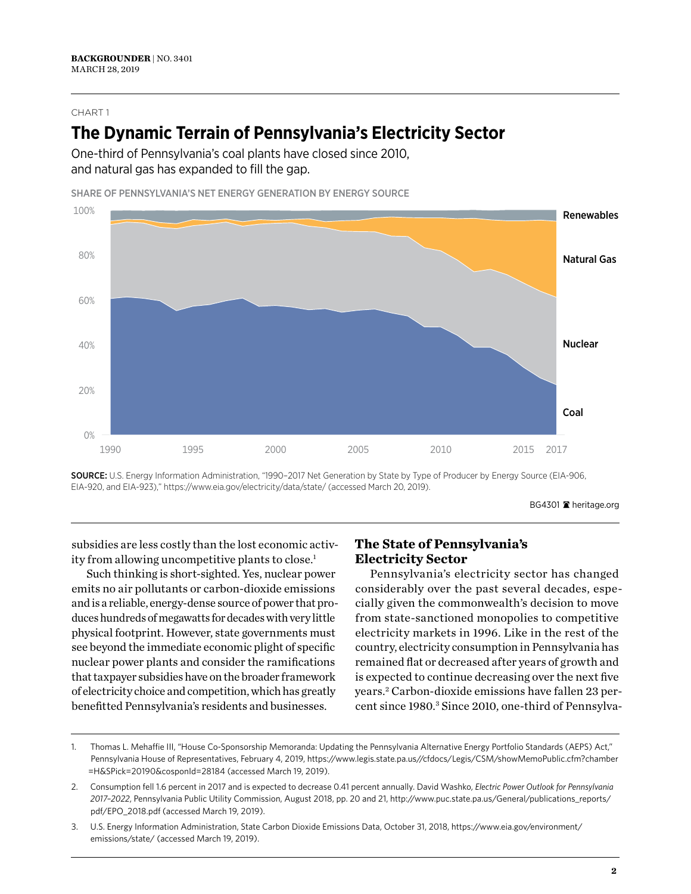#### CHART 1

### **The Dynamic Terrain of Pennsylvania's Electricity Sector**

One-third of Pennsylvania's coal plants have closed since 2010, and natural gas has expanded to fill the gap.

SHARE OF PENNSYLVANIA'S NET ENERGY GENERATION BY ENERGY SOURCE



SOURCE: U.S. Energy Information Administration, "1990–2017 Net Generation by State by Type of Producer by Energy Source (EIA-906, EIA-920, and EIA-923)," https://www.eia.gov/electricity/data/state/ (accessed March 20, 2019).

BG4301 heritage.org

subsidies are less costly than the lost economic activity from allowing uncompetitive plants to close.<sup>1</sup>

Such thinking is short-sighted. Yes, nuclear power emits no air pollutants or carbon-dioxide emissions and is a reliable, energy-dense source of power that produces hundreds of megawatts for decades with very little physical footprint. However, state governments must see beyond the immediate economic plight of specific nuclear power plants and consider the ramifications that taxpayer subsidies have on the broader framework of electricity choice and competition, which has greatly benefitted Pennsylvania's residents and businesses.

#### **The State of Pennsylvania's Electricity Sector**

Pennsylvania's electricity sector has changed considerably over the past several decades, especially given the commonwealth's decision to move from state-sanctioned monopolies to competitive electricity markets in 1996. Like in the rest of the country, electricity consumption in Pennsylvania has remained flat or decreased after years of growth and is expected to continue decreasing over the next five years.2 Carbon-dioxide emissions have fallen 23 percent since 1980.<sup>3</sup> Since 2010, one-third of Pennsylva-

<sup>1.</sup> Thomas L. Mehaffie III, "House Co-Sponsorship Memoranda: Updating the Pennsylvania Alternative Energy Portfolio Standards (AEPS) Act," Pennsylvania House of Representatives, February 4, 2019, https://www.legis.state.pa.us//cfdocs/Legis/CSM/showMemoPublic.cfm?chamber =H&SPick=20190&cosponId=28184 (accessed March 19, 2019).

<sup>2.</sup> Consumption fell 1.6 percent in 2017 and is expected to decrease 0.41 percent annually. David Washko, *Electric Power Outlook for Pennsylvania 2017–2022*, Pennsylvania Public Utility Commission, August 2018, pp. 20 and 21, http://www.puc.state.pa.us/General/publications\_reports/ pdf/EPO\_2018.pdf (accessed March 19, 2019).

<sup>3.</sup> U.S. Energy Information Administration, State Carbon Dioxide Emissions Data, October 31, 2018, https://www.eia.gov/environment/ emissions/state/ (accessed March 19, 2019).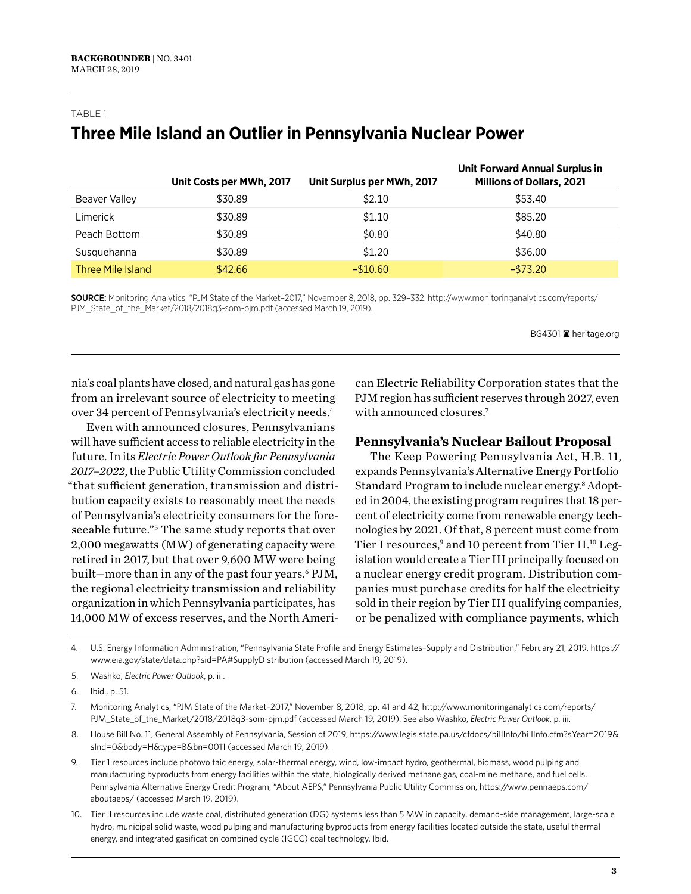#### TABLE 1

## **Three Mile Island an Outlier in Pennsylvania Nuclear Power**

|                   | Unit Costs per MWh, 2017 | Unit Surplus per MWh, 2017 | <b>Unit Forward Annual Surplus in</b><br><b>Millions of Dollars, 2021</b> |
|-------------------|--------------------------|----------------------------|---------------------------------------------------------------------------|
| Beaver Valley     | \$30.89                  | \$2.10                     | \$53.40                                                                   |
| Limerick          | \$30.89                  | \$1.10                     | \$85.20                                                                   |
| Peach Bottom      | \$30.89                  | \$0.80                     | \$40.80                                                                   |
| Susquehanna       | \$30.89                  | \$1,20                     | \$36.00                                                                   |
| Three Mile Island | \$42.66                  | $-$10.60$                  | $- $73.20$                                                                |

SOURCE: Monitoring Analytics, "PJM State of the Market–2017," November 8, 2018, pp. 329–332, http://www.monitoringanalytics.com/reports/ PJM\_State\_of\_the\_Market/2018/2018q3-som-pjm.pdf (accessed March 19, 2019).

BG4301 heritage.org

nia's coal plants have closed, and natural gas has gone from an irrelevant source of electricity to meeting over 34 percent of Pennsylvania's electricity needs.4

Even with announced closures, Pennsylvanians will have sufficient access to reliable electricity in the future. In its *Electric Power Outlook for Pennsylvania 2017–2022*, the Public Utility Commission concluded "that sufficient generation, transmission and distribution capacity exists to reasonably meet the needs of Pennsylvania's electricity consumers for the foreseeable future."5 The same study reports that over 2,000 megawatts (MW) of generating capacity were retired in 2017, but that over 9,600 MW were being built—more than in any of the past four years.6 PJM, the regional electricity transmission and reliability organization in which Pennsylvania participates, has 14,000 MW of excess reserves, and the North American Electric Reliability Corporation states that the PJM region has sufficient reserves through 2027, even with announced closures.<sup>7</sup>

#### **Pennsylvania's Nuclear Bailout Proposal**

The Keep Powering Pennsylvania Act, H.B. 11, expands Pennsylvania's Alternative Energy Portfolio Standard Program to include nuclear energy.8 Adopted in 2004, the existing program requires that 18 percent of electricity come from renewable energy technologies by 2021. Of that, 8 percent must come from Tier I resources,<sup>9</sup> and 10 percent from Tier II.<sup>10</sup> Legislation would create a Tier III principally focused on a nuclear energy credit program. Distribution companies must purchase credits for half the electricity sold in their region by Tier III qualifying companies, or be penalized with compliance payments, which

4. U.S. Energy Information Administration, "Pennsylvania State Profile and Energy Estimates–Supply and Distribution," February 21, 2019, https:// www.eia.gov/state/data.php?sid=PA#SupplyDistribution (accessed March 19, 2019).

6. Ibid., p. 51.

7. Monitoring Analytics, "PJM State of the Market–2017," November 8, 2018, pp. 41 and 42, http://www.monitoringanalytics.com/reports/ PJM\_State\_of\_the\_Market/2018/2018q3-som-pjm.pdf (accessed March 19, 2019). See also Washko, *Electric Power Outlook*, p. iii.

- 8. House Bill No. 11, General Assembly of Pennsylvania, Session of 2019, https://www.legis.state.pa.us/cfdocs/billInfo/billInfo.cfm?sYear=2019& sInd=0&body=H&type=B&bn=0011 (accessed March 19, 2019).
- 9. Tier 1 resources include photovoltaic energy, solar-thermal energy, wind, low-impact hydro, geothermal, biomass, wood pulping and manufacturing byproducts from energy facilities within the state, biologically derived methane gas, coal-mine methane, and fuel cells. Pennsylvania Alternative Energy Credit Program, "About AEPS," Pennsylvania Public Utility Commission, https://www.pennaeps.com/ aboutaeps/ (accessed March 19, 2019).
- 10. Tier II resources include waste coal, distributed generation (DG) systems less than 5 MW in capacity, demand-side management, large-scale hydro, municipal solid waste, wood pulping and manufacturing byproducts from energy facilities located outside the state, useful thermal energy, and integrated gasification combined cycle (IGCC) coal technology. Ibid.

<sup>5.</sup> Washko, *Electric Power Outlook*, p. iii.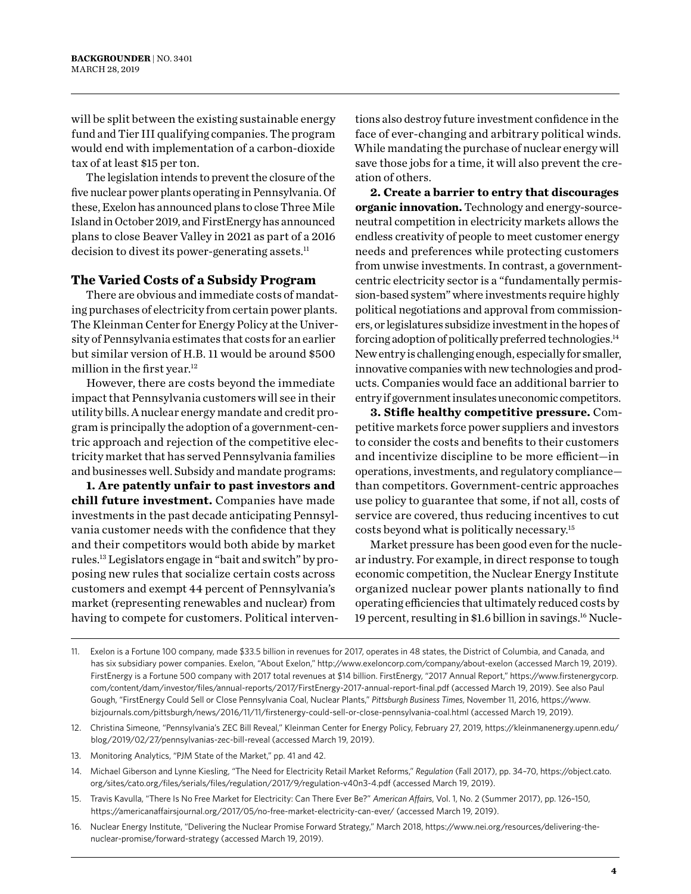will be split between the existing sustainable energy fund and Tier III qualifying companies. The program would end with implementation of a carbon-dioxide tax of at least \$15 per ton.

The legislation intends to prevent the closure of the five nuclear power plants operating in Pennsylvania. Of these, Exelon has announced plans to close Three Mile Island in October 2019, and FirstEnergy has announced plans to close Beaver Valley in 2021 as part of a 2016 decision to divest its power-generating assets. $<sup>11</sup>$ </sup>

#### **The Varied Costs of a Subsidy Program**

There are obvious and immediate costs of mandating purchases of electricity from certain power plants. The Kleinman Center for Energy Policy at the University of Pennsylvania estimates that costs for an earlier but similar version of H.B. 11 would be around \$500 million in the first year.<sup>12</sup>

However, there are costs beyond the immediate impact that Pennsylvania customers will see in their utility bills. A nuclear energy mandate and credit program is principally the adoption of a government-centric approach and rejection of the competitive electricity market that has served Pennsylvania families and businesses well. Subsidy and mandate programs:

**1. Are patently unfair to past investors and chill future investment.** Companies have made investments in the past decade anticipating Pennsylvania customer needs with the confidence that they and their competitors would both abide by market rules.13 Legislators engage in "bait and switch" by proposing new rules that socialize certain costs across customers and exempt 44 percent of Pennsylvania's market (representing renewables and nuclear) from having to compete for customers. Political interventions also destroy future investment confidence in the face of ever-changing and arbitrary political winds. While mandating the purchase of nuclear energy will save those jobs for a time, it will also prevent the creation of others.

**2. Create a barrier to entry that discourages organic innovation.** Technology and energy-sourceneutral competition in electricity markets allows the endless creativity of people to meet customer energy needs and preferences while protecting customers from unwise investments. In contrast, a governmentcentric electricity sector is a "fundamentally permission-based system" where investments require highly political negotiations and approval from commissioners, or legislatures subsidize investment in the hopes of forcing adoption of politically preferred technologies.14 New entry is challenging enough, especially for smaller, innovative companies with new technologies and products. Companies would face an additional barrier to entry if government insulates uneconomic competitors.

**3. Stifle healthy competitive pressure.** Competitive markets force power suppliers and investors to consider the costs and benefits to their customers and incentivize discipline to be more efficient—in operations, investments, and regulatory compliance than competitors. Government-centric approaches use policy to guarantee that some, if not all, costs of service are covered, thus reducing incentives to cut costs beyond what is politically necessary.15

Market pressure has been good even for the nuclear industry. For example, in direct response to tough economic competition, the Nuclear Energy Institute organized nuclear power plants nationally to find operating efficiencies that ultimately reduced costs by 19 percent, resulting in \$1.6 billion in savings.<sup>16</sup> Nucle-

- 13. Monitoring Analytics, "PJM State of the Market," pp. 41 and 42.
- 14. Michael Giberson and Lynne Kiesling, "The Need for Electricity Retail Market Reforms," *Regulation* (Fall 2017), pp. 34–70, https://object.cato. org/sites/cato.org/files/serials/files/regulation/2017/9/regulation-v40n3-4.pdf (accessed March 19, 2019).
- 15. Travis Kavulla, "There Is No Free Market for Electricity: Can There Ever Be?" *American Affairs*, Vol. 1, No. 2 (Summer 2017), pp. 126–150, https://americanaffairsjournal.org/2017/05/no-free-market-electricity-can-ever/ (accessed March 19, 2019).
- 16. Nuclear Energy Institute, "Delivering the Nuclear Promise Forward Strategy," March 2018, https://www.nei.org/resources/delivering-thenuclear-promise/forward-strategy (accessed March 19, 2019).

<sup>11.</sup> Exelon is a Fortune 100 company, made \$33.5 billion in revenues for 2017, operates in 48 states, the District of Columbia, and Canada, and has six subsidiary power companies. Exelon, "About Exelon," http://www.exeloncorp.com/company/about-exelon (accessed March 19, 2019). FirstEnergy is a Fortune 500 company with 2017 total revenues at \$14 billion. FirstEnergy, "2017 Annual Report," https://www.firstenergycorp. com/content/dam/investor/files/annual-reports/2017/FirstEnergy-2017-annual-report-final.pdf (accessed March 19, 2019). See also Paul Gough, "FirstEnergy Could Sell or Close Pennsylvania Coal, Nuclear Plants," *Pittsburgh Business Times*, November 11, 2016, https://www. bizjournals.com/pittsburgh/news/2016/11/11/firstenergy-could-sell-or-close-pennsylvania-coal.html (accessed March 19, 2019).

<sup>12.</sup> Christina Simeone, "Pennsylvania's ZEC Bill Reveal," Kleinman Center for Energy Policy, February 27, 2019, https://kleinmanenergy.upenn.edu/ blog/2019/02/27/pennsylvanias-zec-bill-reveal (accessed March 19, 2019).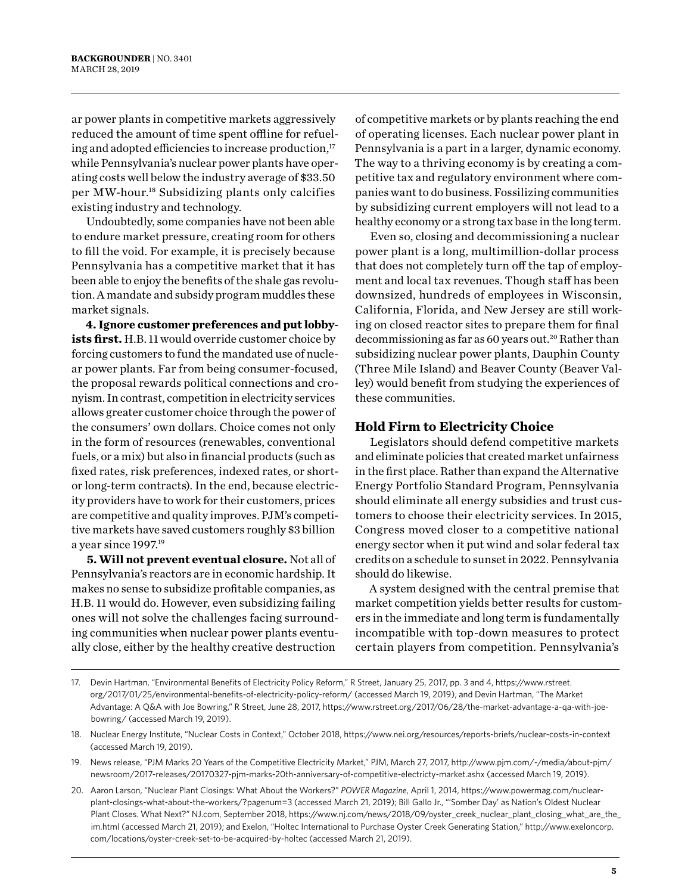ar power plants in competitive markets aggressively reduced the amount of time spent offline for refueling and adopted efficiencies to increase production,<sup>17</sup> while Pennsylvania's nuclear power plants have operating costs well below the industry average of \$33.50 per MW-hour.18 Subsidizing plants only calcifies existing industry and technology.

Undoubtedly, some companies have not been able to endure market pressure, creating room for others to fill the void. For example, it is precisely because Pennsylvania has a competitive market that it has been able to enjoy the benefits of the shale gas revolution. A mandate and subsidy program muddles these market signals.

**4. Ignore customer preferences and put lobbyists first.** H.B. 11 would override customer choice by forcing customers to fund the mandated use of nuclear power plants. Far from being consumer-focused, the proposal rewards political connections and cronyism. In contrast, competition in electricity services allows greater customer choice through the power of the consumers' own dollars. Choice comes not only in the form of resources (renewables, conventional fuels, or a mix) but also in financial products (such as fixed rates, risk preferences, indexed rates, or shortor long-term contracts). In the end, because electricity providers have to work for their customers, prices are competitive and quality improves. PJM's competitive markets have saved customers roughly \$3 billion a year since 1997.19

**5. Will not prevent eventual closure.** Not all of Pennsylvania's reactors are in economic hardship. It makes no sense to subsidize profitable companies, as H.B. 11 would do. However, even subsidizing failing ones will not solve the challenges facing surrounding communities when nuclear power plants eventually close, either by the healthy creative destruction

of competitive markets or by plants reaching the end of operating licenses. Each nuclear power plant in Pennsylvania is a part in a larger, dynamic economy. The way to a thriving economy is by creating a competitive tax and regulatory environment where companies want to do business. Fossilizing communities by subsidizing current employers will not lead to a healthy economy or a strong tax base in the long term.

Even so, closing and decommissioning a nuclear power plant is a long, multimillion-dollar process that does not completely turn off the tap of employment and local tax revenues. Though staff has been downsized, hundreds of employees in Wisconsin, California, Florida, and New Jersey are still working on closed reactor sites to prepare them for final decommissioning as far as 60 years out.<sup>20</sup> Rather than subsidizing nuclear power plants, Dauphin County (Three Mile Island) and Beaver County (Beaver Valley) would benefit from studying the experiences of these communities.

#### **Hold Firm to Electricity Choice**

Legislators should defend competitive markets and eliminate policies that created market unfairness in the first place. Rather than expand the Alternative Energy Portfolio Standard Program, Pennsylvania should eliminate all energy subsidies and trust customers to choose their electricity services. In 2015, Congress moved closer to a competitive national energy sector when it put wind and solar federal tax credits on a schedule to sunset in 2022. Pennsylvania should do likewise.

A system designed with the central premise that market competition yields better results for customers in the immediate and long term is fundamentally incompatible with top-down measures to protect certain players from competition. Pennsylvania's

- 19. News release, "PJM Marks 20 Years of the Competitive Electricity Market," PJM, March 27, 2017, http://www.pjm.com/-/media/about-pjm/ newsroom/2017-releases/20170327-pjm-marks-20th-anniversary-of-competitive-electricty-market.ashx (accessed March 19, 2019).
- 20. Aaron Larson, "Nuclear Plant Closings: What About the Workers?" *POWER Magazine*, April 1, 2014, https://www.powermag.com/nuclearplant-closings-what-about-the-workers/?pagenum=3 (accessed March 21, 2019); Bill Gallo Jr., "'Somber Day' as Nation's Oldest Nuclear Plant Closes. What Next?" NJ.com, September 2018, https://www.nj.com/news/2018/09/oyster\_creek\_nuclear\_plant\_closing\_what\_are\_the\_ im.html (accessed March 21, 2019); and Exelon, "Holtec International to Purchase Oyster Creek Generating Station," http://www.exeloncorp. com/locations/oyster-creek-set-to-be-acquired-by-holtec (accessed March 21, 2019).

<sup>17.</sup> Devin Hartman, "Environmental Benefits of Electricity Policy Reform," R Street, January 25, 2017, pp. 3 and 4, https://www.rstreet. org/2017/01/25/environmental-benefits-of-electricity-policy-reform/ (accessed March 19, 2019), and Devin Hartman, "The Market Advantage: A Q&A with Joe Bowring," R Street, June 28, 2017, https://www.rstreet.org/2017/06/28/the-market-advantage-a-qa-with-joebowring/ (accessed March 19, 2019).

<sup>18.</sup> Nuclear Energy Institute, "Nuclear Costs in Context," October 2018, https://www.nei.org/resources/reports-briefs/nuclear-costs-in-context (accessed March 19, 2019).